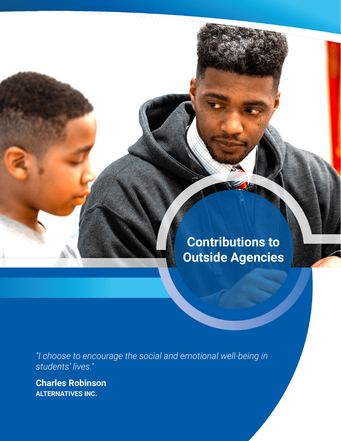# **Contributions to Outside Agencies**

*"I choose to encourage the social and emotional well-being in students' lives."* 

**Charles Robinson ALTERNATIVES INC.**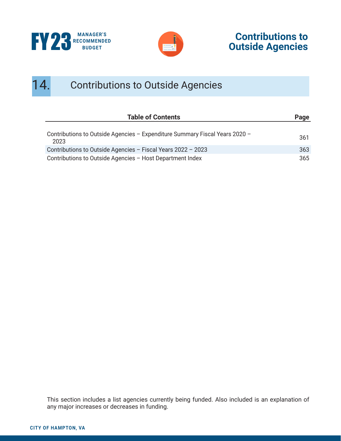





# 14. Contributions to Outside Agencies

| <b>Table of Contents</b>                                                            |     |
|-------------------------------------------------------------------------------------|-----|
| Contributions to Outside Agencies - Expenditure Summary Fiscal Years 2020 -<br>2023 | 361 |
| Contributions to Outside Agencies - Fiscal Years 2022 - 2023                        | 363 |
| Contributions to Outside Agencies - Host Department Index                           | 365 |

This section includes a list agencies currently being funded. Also included is an explanation of any major increases or decreases in funding.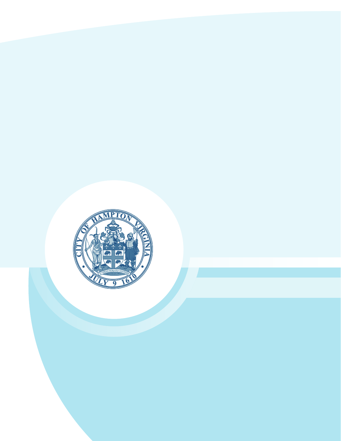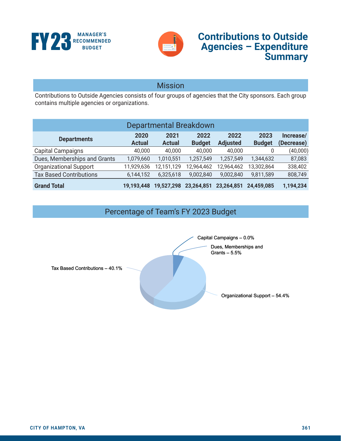



# **Contributions to Outside Agencies – Expenditure Summary**

### Mission

Contributions to Outside Agencies consists of four groups of agencies that the City sponsors. Each group contains multiple agencies or organizations.

| Departmental Breakdown         |                       |                       |                       |                         |                       |                         |
|--------------------------------|-----------------------|-----------------------|-----------------------|-------------------------|-----------------------|-------------------------|
| <b>Departments</b>             | 2020<br><b>Actual</b> | 2021<br><b>Actual</b> | 2022<br><b>Budget</b> | 2022<br><b>Adjusted</b> | 2023<br><b>Budget</b> | Increase/<br>(Decrease) |
| <b>Capital Campaigns</b>       | 40,000                | 40,000                | 40,000                | 40,000                  | 0                     | (40,000)                |
| Dues, Memberships and Grants   | 1,079,660             | 1,010,551             | 1,257,549             | 1,257,549               | 1,344,632             | 87,083                  |
| <b>Organizational Support</b>  | 11,929,636            | 12,151,129            | 12,964,462            | 12,964,462              | 13,302,864            | 338,402                 |
| <b>Tax Based Contributions</b> | 6,144,152             | 6,325,618             | 9,002,840             | 9,002,840               | 9,811,589             | 808,749                 |
| <b>Grand Total</b>             | 19,193,448            | 19,527,298            | 23,264,851            | 23,264,851              | 24.459.085            | 1,194,234               |

### Percentage of Team's FY 2023 Budget

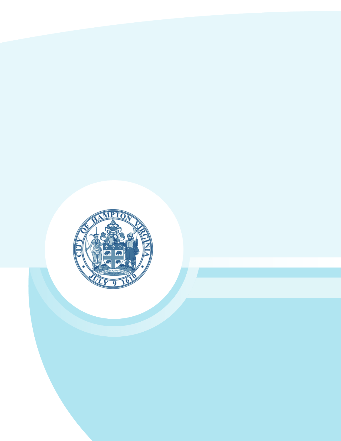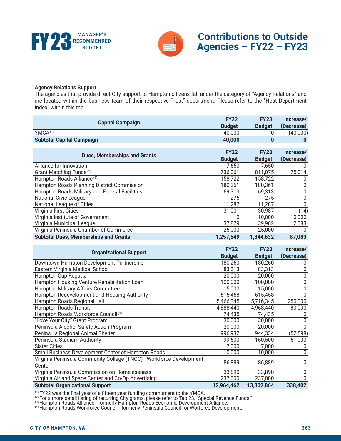



## **Contributions to Outside Agencies – FY22 – FY23**

### **Agency Relations Support**

The agencies that provide direct City support to Hampton citizens fall under the category of "Agency Relations" and are located within the business team of their respective "host" department. Please refer to the "Host Department Index" within this tab.

| <b>Capital Campaign</b>                                             | <b>FY22</b><br><b>Budget</b> | <b>FY23</b><br><b>Budget</b> | Increase/<br>(Decrease)   |
|---------------------------------------------------------------------|------------------------------|------------------------------|---------------------------|
| YMCA <sup>(1)</sup>                                                 | 40,000                       | $\mathbf 0$                  | (40,000)                  |
| <b>Subtotal Capital Campaign</b>                                    | 40,000                       | $\mathbf{0}$                 | $\mathbf{0}$              |
| <b>Dues, Memberships and Grants</b>                                 | <b>FY22</b><br><b>Budget</b> | <b>FY23</b><br><b>Budget</b> | Increase/<br>(Decrease)   |
| Alliance for Innovation                                             | 7,650                        | 7,650                        | <sup>0</sup>              |
| Grant Matching Funds <sup>(2)</sup>                                 | 736,061                      | 811,075                      | 75,014                    |
| Hampton Roads Alliance <sup>(3)</sup>                               | 158,722                      | 158,722                      | 0                         |
| <b>Hampton Roads Planning District Commission</b>                   | 180,361                      | 180,361                      | $\boldsymbol{0}$          |
| Hampton Roads Military and Federal Facilities                       | 69,313                       | 69,313                       | $\boldsymbol{0}$          |
| <b>National Civic League</b>                                        | 275                          | 275                          | $\boldsymbol{0}$          |
| <b>National League of Cities</b>                                    | 11,287                       | 11,287                       | $\Omega$                  |
| Virginia First Cities                                               | 31,001                       | 30,987                       | (14)                      |
| Virginia Institute of Government                                    | 0                            | 10,000                       | 10,000                    |
| Virginia Municipal League                                           | 37,879                       | 39,962                       | 2,083                     |
| Virginia Peninsula Chamber of Commerce                              | 25,000                       | 25,000                       | <sup>0</sup>              |
| <b>Subtotal Dues, Memberships and Grants</b>                        | 1,257,549                    | 1,344,632                    | 87,083                    |
|                                                                     | <b>FY22</b>                  | <b>FY23</b>                  | Increase/                 |
|                                                                     |                              |                              |                           |
| <b>Organizational Support</b>                                       | <b>Budget</b>                | <b>Budget</b>                | (Decrease)                |
| Downtown Hampton Development Partnership                            | 180,260                      | 180,260                      | 0                         |
| Eastern Virginia Medical School                                     | 83,313                       | 83,313                       | $\mathbf 0$               |
| Hampton Cup Regatta                                                 | 20,000                       | 20,000                       | $\boldsymbol{0}$          |
| Hampton Housing Venture Rehabilitation Loan                         | 100,000                      | 100,000                      | $\boldsymbol{0}$          |
| Hampton Military Affairs Committee                                  | 15,000                       | 15,000                       | $\pmb{0}$                 |
| Hampton Redevelopment and Housing Authority                         | 615,458                      | 615,458                      | $\Omega$                  |
| Hampton Roads Regional Jail                                         | 5,466,345                    | 5,716,345                    | 250,000                   |
| <b>Hampton Roads Transit</b>                                        | 4,888,440                    | 4,968,440                    | 80,000                    |
| Hampton Roads Workforce Council <sup>(4)</sup>                      | 74,435                       | 74,435                       | 0                         |
| "Love Your City" Grant Program                                      | 30,000                       | 30,000                       | 0                         |
| Peninsula Alcohol Safety Action Program                             | 20,000                       | 20,000                       | $\overline{0}$            |
| Peninsula Regional Animal Shelter                                   | 996,932                      | 944,334                      | (52, 598)                 |
| Peninsula Stadium Authority                                         | 99,500                       | 160,500                      | 61,000                    |
| <b>Sister Cities</b>                                                | 7,000                        | 7,000                        | 0                         |
| Small Business Development Center of Hampton Roads                  | 10,000                       | 10,000                       | $\boldsymbol{0}$          |
| Virginia Peninsula Community College (TNCC) - Workforce Development |                              |                              |                           |
| Center                                                              | 86,889                       | 86,889                       | 0                         |
| Virginia Peninsula Commission on Homelessness                       | 33,890                       | 33,890                       | $\mathbf{0}$              |
| Virginia Air and Space Center and Co-Op Advertising                 | 237,000                      | 237,000                      | $\overline{0}$<br>338,402 |

(1) FY22 was the final year of a fifteen year funding commitment to the YMCA.<br>(2) For a more detail listing of recurring City grants, please refer to Tab 23, "Special Revenue Funds."<br>(3) Hampton Roads Alliance - formerly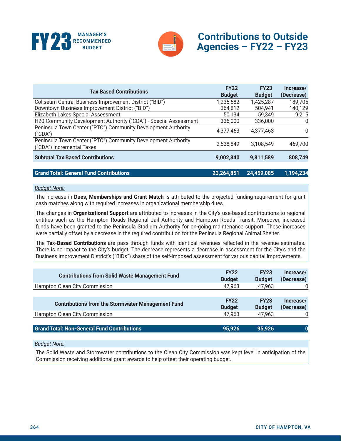



# **Contributions to Outside Agencies – FY22 – FY23**

| <b>Tax Based Contributions</b>                                                             | <b>FY22</b>   | <b>FY23</b>   | Increase/  |
|--------------------------------------------------------------------------------------------|---------------|---------------|------------|
|                                                                                            | <b>Budget</b> | <b>Budget</b> | (Decrease) |
| Coliseum Central Business Improvement District ("BID")                                     | 1,235,582     | 1,425,287     | 189,705    |
| Downtown Business Improvement District ("BID")                                             | 364,812       | 504,941       | 140,129    |
| Elizabeth Lakes Special Assessment                                                         | 50,134        | 59,349        | 9,215      |
| H20 Community Development Authority ("CDA") - Special Assessment                           | 336,000       | 336,000       | 0          |
| Peninsula Town Center ("PTC") Community Development Authority<br>('CDA")                   | 4,377,463     | 4,377,463     | $\Omega$   |
| Peninsula Town Center ("PTC") Community Development Authority<br>("CDA") Incremental Taxes | 2,638,849     | 3,108,549     | 469,700    |
| <b>Subtotal Tax Based Contributions</b>                                                    | 9,002,840     | 9,811,589     | 808,749    |
|                                                                                            |               |               |            |

### **Grand Total: General Fund Contributions 23,264,851 24,459,085 1,194,234**

### *Budget Note:*

The increase in **Dues, Memberships and Grant Match** is attributed to the projected funding requirement for grant cash matches along with required increases in organizational membership dues.

The changes in **Organizational Support** are attributed to increases in the City's use-based contributions to regional entities such as the Hampton Roads Regional Jail Authority and Hampton Roads Transit. Moreover, increased funds have been granted to the Peninsula Stadium Authority for on-going maintenance support. These increases were partially offset by a decrease in the required contribution for the Peninsula Regional Animal Shelter.

The **Tax-Based Contributions** are pass through funds with identical revenues reflected in the revenue estimates. There is no impact to the City's budget. The decrease represents a decrease in assessment for the City's and the Business Improvement District's ("BIDs") share of the self-imposed assessment for various capital improvements.

| <b>Contributions from Solid Waste Management Fund</b><br>Hampton Clean City Commission | <b>FY22</b><br><b>Budget</b><br>47,963 | <b>FY23</b><br><b>Budget</b><br>47.963 | Increase/<br>(Decrease) |
|----------------------------------------------------------------------------------------|----------------------------------------|----------------------------------------|-------------------------|
| <b>Contributions from the Stormwater Management Fund</b>                               | <b>FY22</b><br><b>Budget</b>           | <b>FY23</b><br><b>Budget</b>           | Increase/<br>(Decrease) |
| Hampton Clean City Commission                                                          | 47,963                                 | 47,963                                 |                         |
| <b>Grand Total: Non-General Fund Contributions</b>                                     | 95,926                                 | 95,926                                 |                         |

### *Budget Note:*

The Solid Waste and Stormwater contributions to the Clean City Commission was kept level in anticipation of the Commission receiving additional grant awards to help offset their operating budget.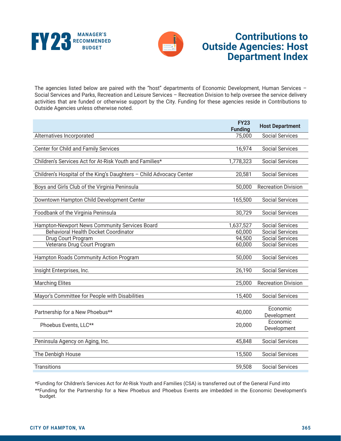



## **Contributions to Outside Agencies: Host Department Index**

The agencies listed below are paired with the "host" departments of Economic Development, Human Services -Social Services and Parks, Recreation and Leisure Services – Recreation Division to help oversee the service delivery activities that are funded or otherwise support by the City. Funding for these agencies reside in Contributions to Outside Agencies unless otherwise noted.

|                                                                     | <b>FY23</b><br><b>Funding</b> | <b>Host Department</b>     |
|---------------------------------------------------------------------|-------------------------------|----------------------------|
| Alternatives Incorporated                                           | 75,000                        | <b>Social Services</b>     |
| Center for Child and Family Services                                | 16,974                        | <b>Social Services</b>     |
| Children's Services Act for At-Risk Youth and Families*             | 1,778,323                     | <b>Social Services</b>     |
| Children's Hospital of the King's Daughters - Child Advocacy Center | 20,581                        | <b>Social Services</b>     |
| Boys and Girls Club of the Virginia Peninsula                       | 50,000                        | <b>Recreation Division</b> |
| Downtown Hampton Child Development Center                           | 165,500                       | <b>Social Services</b>     |
| Foodbank of the Virginia Peninsula                                  | 30,729                        | <b>Social Services</b>     |
| Hampton-Newport News Community Services Board                       | 1,637,527                     | <b>Social Services</b>     |
| Behavioral Health Docket Coordinator                                | 60,000                        | <b>Social Services</b>     |
| Drug Court Program                                                  | 94,500                        | <b>Social Services</b>     |
| Veterans Drug Court Program                                         | 60,000                        | <b>Social Services</b>     |
| Hampton Roads Community Action Program                              | 50,000                        | <b>Social Services</b>     |
| Insight Enterprises, Inc.                                           | 26,190                        | <b>Social Services</b>     |
| <b>Marching Elites</b>                                              | 25,000                        | <b>Recreation Division</b> |
| Mayor's Committee for People with Disabilities                      | 15,400                        | <b>Social Services</b>     |
| Partnership for a New Phoebus**                                     | 40,000                        | Economic<br>Development    |
| Phoebus Events, LLC**                                               | 20,000                        | Economic<br>Development    |
| Peninsula Agency on Aging, Inc.                                     | 45,848                        | <b>Social Services</b>     |
| The Denbigh House                                                   | 15,500                        | <b>Social Services</b>     |
| <b>Transitions</b>                                                  | 59,508                        | <b>Social Services</b>     |

\*Funding for Children's Services Act for At-Risk Youth and Families (CSA) is transferred out of the General Fund into

\*\*Funding for the Partnership for a New Phoebus and Phoebus Events are imbedded in the Economic Development's budget.